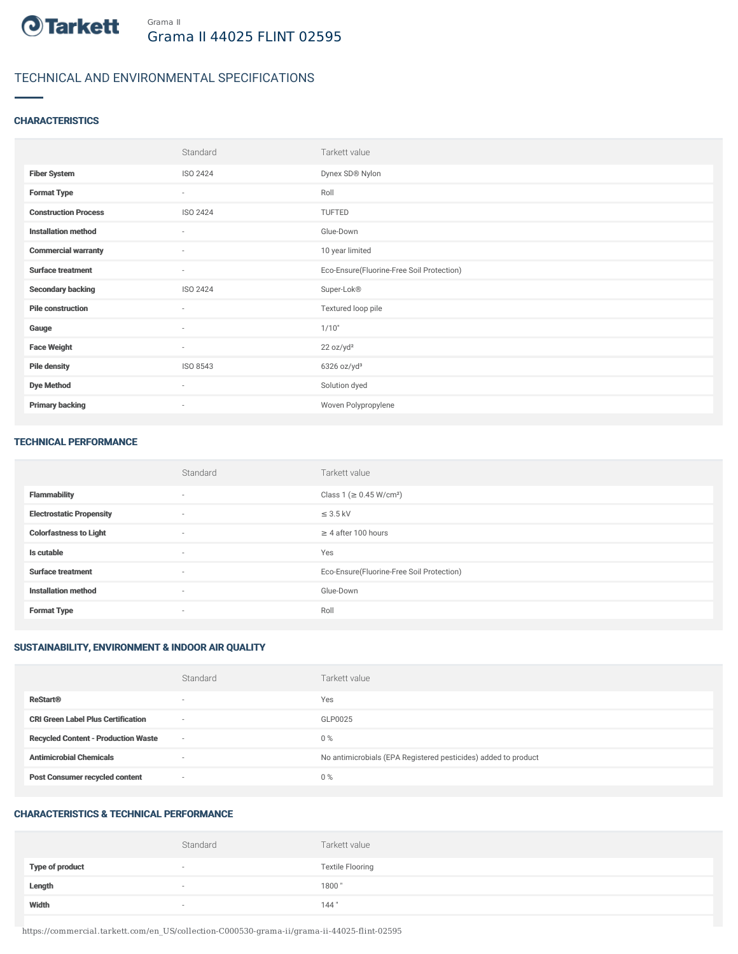

# TECHNICAL AND ENVIRONMENTAL SPECIFICATIONS

### **CHARACTERISTICS**

|                             | Standard                 | Tarkett value                             |
|-----------------------------|--------------------------|-------------------------------------------|
| <b>Fiber System</b>         | ISO 2424                 | Dynex SD® Nylon                           |
| <b>Format Type</b>          | $\sim$                   | Roll                                      |
| <b>Construction Process</b> | ISO 2424                 | TUFTED                                    |
| <b>Installation method</b>  | $\overline{\phantom{a}}$ | Glue-Down                                 |
| <b>Commercial warranty</b>  | ٠                        | 10 year limited                           |
| <b>Surface treatment</b>    | $\sim$                   | Eco-Ensure(Fluorine-Free Soil Protection) |
| <b>Secondary backing</b>    | ISO 2424                 | Super-Lok®                                |
| <b>Pile construction</b>    | ٠                        | Textured loop pile                        |
| Gauge                       | $\overline{\phantom{a}}$ | 1/10"                                     |
| <b>Face Weight</b>          | $\overline{\phantom{a}}$ | 22 oz/yd <sup>2</sup>                     |
| <b>Pile density</b>         | ISO 8543                 | $6326$ oz/yd <sup>3</sup>                 |
| <b>Dye Method</b>           | $\overline{\phantom{a}}$ | Solution dyed                             |
| <b>Primary backing</b>      | ٠                        | Woven Polypropylene                       |

#### TECHNICAL PERFORMANCE

|                                 | Standard                 | Tarkett value                             |
|---------------------------------|--------------------------|-------------------------------------------|
| <b>Flammability</b>             | $\sim$                   | Class 1 (≥ 0.45 W/cm <sup>2</sup> )       |
| <b>Electrostatic Propensity</b> | $\sim$                   | $\leq$ 3.5 kV                             |
| <b>Colorfastness to Light</b>   | $\sim$                   | $\geq$ 4 after 100 hours                  |
| Is cutable                      | $\overline{\phantom{a}}$ | Yes                                       |
| <b>Surface treatment</b>        | $\sim$                   | Eco-Ensure(Fluorine-Free Soil Protection) |
| <b>Installation method</b>      | $\sim$                   | Glue-Down                                 |
| <b>Format Type</b>              | $\overline{\phantom{a}}$ | Roll                                      |

# SUSTAINABILITY, ENVIRONMENT & INDOOR AIR QUALITY

|                                            | Standard                 | Tarkett value                                                  |
|--------------------------------------------|--------------------------|----------------------------------------------------------------|
| <b>ReStart®</b>                            | $\overline{\phantom{a}}$ | Yes                                                            |
| <b>CRI Green Label Plus Certification</b>  | $\overline{\phantom{a}}$ | GLP0025                                                        |
| <b>Recycled Content - Production Waste</b> | $\sim$                   | $0\%$                                                          |
| <b>Antimicrobial Chemicals</b>             | $\overline{\phantom{a}}$ | No antimicrobials (EPA Registered pesticides) added to product |
| <b>Post Consumer recycled content</b>      | $\overline{\phantom{a}}$ | $0\%$                                                          |

# CHARACTERISTICS & TECHNICAL PERFORMANCE

|                        | Standard                 | Tarkett value           |
|------------------------|--------------------------|-------------------------|
| <b>Type of product</b> | $\overline{\phantom{a}}$ | <b>Textile Flooring</b> |
| Length                 | $\overline{\phantom{a}}$ | 1800                    |
| Width                  | $\sim$                   | 144"                    |

https://commercial.tarkett.com/en\_US/collection-C000530-grama-ii/grama-ii-44025-flint-02595